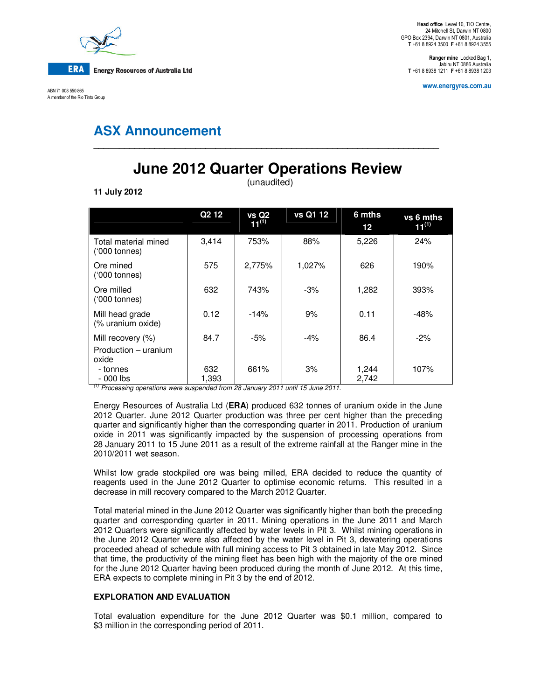

ABN 71 008 550 865 A member of the Rio Tinto Group

**Ranger mine** Locked Bag 1, Jabiru NT 0886 Australia **T** +61 8 8938 1211 **F** +61 8 8938 1203

**www.energyres.com.au** 

## **ASX Announcement**

# **June 2012 Quarter Operations Review**

**\_\_\_\_\_\_\_\_\_\_\_\_\_\_\_\_\_\_\_\_\_\_\_\_\_\_\_\_\_\_\_\_\_\_\_\_\_\_\_\_\_\_\_\_\_\_\_\_\_\_\_\_\_\_\_\_\_\_\_\_\_\_\_\_\_\_\_\_** 

(unaudited)

**11 July 2012** 

|                                                    | Q <sub>2</sub> 1 <sub>2</sub> | <b>vs Q2</b><br>$11^{(1)}$ | vs Q1 12 | 6 mths<br>$12 \,$ | vs 6 mths<br>$11^{(1)}$ |
|----------------------------------------------------|-------------------------------|----------------------------|----------|-------------------|-------------------------|
| Total material mined<br>$(000 \text{ tonnes})$     | 3,414                         | 753%                       | 88%      | 5,226             | 24%                     |
| Ore mined<br>$(000 \text{ tonnes})$                | 575                           | 2,775%                     | 1,027%   | 626               | 190%                    |
| Ore milled<br>$(000 \text{ tonnes})$               | 632                           | 743%                       | -3%      | 1,282             | 393%                    |
| Mill head grade<br>(% uranium oxide)               | 0.12                          | $-14%$                     | 9%       | 0.11              | $-48%$                  |
| Mill recovery (%)<br>Production - uranium<br>oxide | 84.7                          | $-5%$                      | $-4\%$   | 86.4              | $-2\%$                  |
| - tonnes<br>- 000 lbs                              | 632<br>1,393                  | 661%                       | 3%       | 1,244<br>2,742    | 107%                    |

 $^{(1)}$  Processing operations were suspended from 28 January 2011 until 15 June 2011.

Energy Resources of Australia Ltd (**ERA**) produced 632 tonnes of uranium oxide in the June 2012 Quarter. June 2012 Quarter production was three per cent higher than the preceding quarter and significantly higher than the corresponding quarter in 2011. Production of uranium oxide in 2011 was significantly impacted by the suspension of processing operations from 28 January 2011 to 15 June 2011 as a result of the extreme rainfall at the Ranger mine in the 2010/2011 wet season.

Whilst low grade stockpiled ore was being milled, ERA decided to reduce the quantity of reagents used in the June 2012 Quarter to optimise economic returns. This resulted in a decrease in mill recovery compared to the March 2012 Quarter.

Total material mined in the June 2012 Quarter was significantly higher than both the preceding quarter and corresponding quarter in 2011. Mining operations in the June 2011 and March 2012 Quarters were significantly affected by water levels in Pit 3. Whilst mining operations in the June 2012 Quarter were also affected by the water level in Pit 3, dewatering operations proceeded ahead of schedule with full mining access to Pit 3 obtained in late May 2012. Since that time, the productivity of the mining fleet has been high with the majority of the ore mined for the June 2012 Quarter having been produced during the month of June 2012. At this time, ERA expects to complete mining in Pit 3 by the end of 2012.

### **EXPLORATION AND EVALUATION**

Total evaluation expenditure for the June 2012 Quarter was \$0.1 million, compared to \$3 million in the corresponding period of 2011.